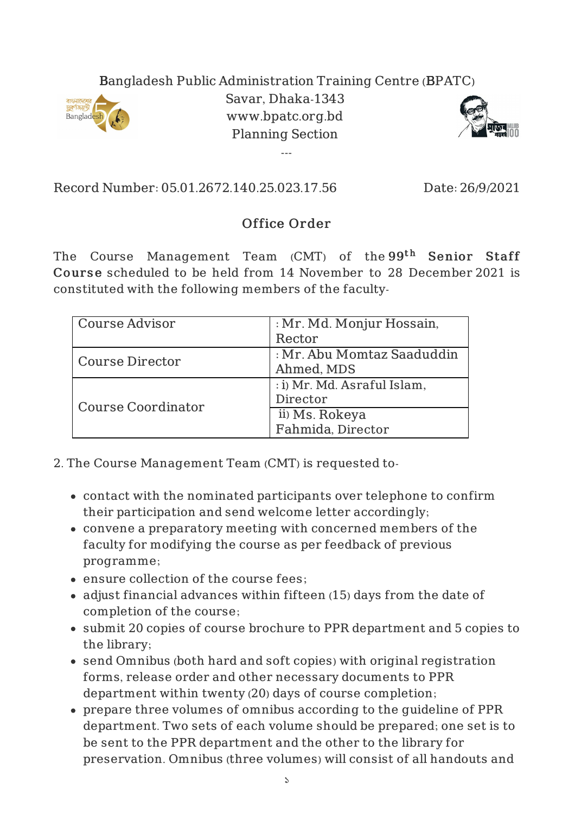## Bangladesh Public Administration Training Centre (BPATC)



Savar, Dhaka-1343 www.bpatc.org.bd Planning Section

---



Record Number: 05.01.2672.140.25.023.17.56 Date: 26/9/2021

## Office Order

The Course Management Team (CMT) of the $99^{\rm th}$  Senior Staff Course scheduled to be held from 14 November to 28 December 2021 is constituted with the following members of the faculty-

| Course Advisor     | : Mr. Md. Monjur Hossain,   |
|--------------------|-----------------------------|
|                    | Rector                      |
| Course Director    | : Mr. Abu Momtaz Saaduddin  |
|                    | Ahmed, MDS                  |
| Course Coordinator | : i) Mr. Md. Asraful Islam, |
|                    | Director                    |
|                    | ii) Ms. Rokeya              |
|                    | Fahmida, Director           |

2. The Course Management Team (CMT) is requested to-

- contact with the nominated participants over telephone to confirm their participation and send welcome letter accordingly;
- convene a preparatory meeting with concerned members of the faculty for modifying the course as per feedback of previous programme;
- ensure collection of the course fees;
- adjust financial advances within fifteen (15) days from the date of completion of the course;
- submit 20 copies of course brochure to PPR department and 5 copies to the library;
- send Omnibus (both hard and soft copies) with original registration forms, release order and other necessary documents to PPR department within twenty (20) days of course completion;
- prepare three volumes of omnibus according to the guideline of PPR department. Two sets of each volume should be prepared; one set is to be sent to the PPR department and the other to the library for preservation. Omnibus (three volumes) will consist of all handouts and